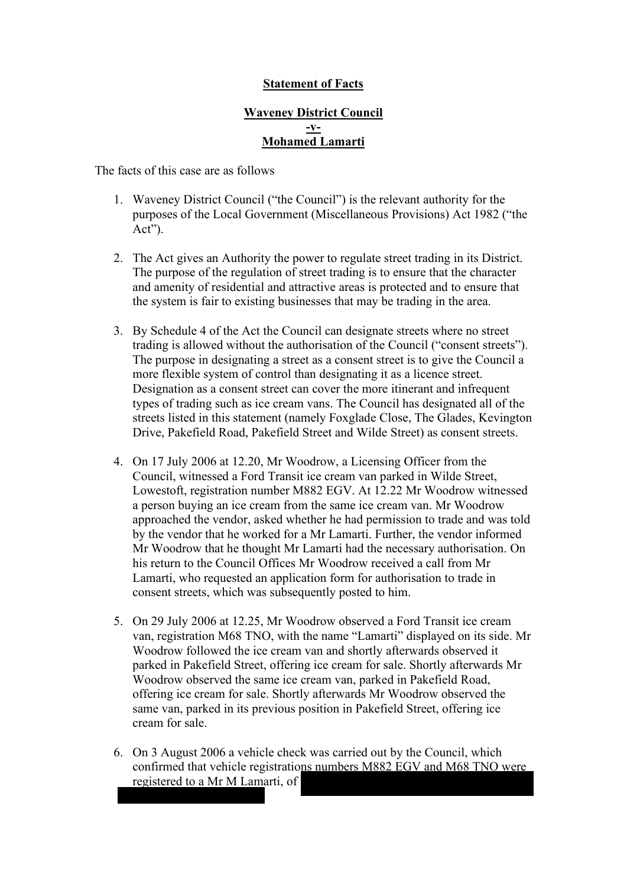## **Statement of Facts**

## **Waveney District Council -v-Mohamed Lamarti**

The facts of this case are as follows

- 1. Waveney District Council ("the Council") is the relevant authority for the purposes of the Local Government (Miscellaneous Provisions) Act 1982 ("the Act").
- 2. The Act gives an Authority the power to regulate street trading in its District. The purpose of the regulation of street trading is to ensure that the character and amenity of residential and attractive areas is protected and to ensure that the system is fair to existing businesses that may be trading in the area.
- 3. By Schedule 4 of the Act the Council can designate streets where no street trading is allowed without the authorisation of the Council ("consent streets"). The purpose in designating a street as a consent street is to give the Council a more flexible system of control than designating it as a licence street. Designation as a consent street can cover the more itinerant and infrequent types of trading such as ice cream vans. The Council has designated all of the streets listed in this statement (namely Foxglade Close, The Glades, Kevington Drive, Pakefield Road, Pakefield Street and Wilde Street) as consent streets.
- 4. On 17 July 2006 at 12.20, Mr Woodrow, a Licensing Officer from the Council, witnessed a Ford Transit ice cream van parked in Wilde Street, Lowestoft, registration number M882 EGV. At 12.22 Mr Woodrow witnessed a person buying an ice cream from the same ice cream van. Mr Woodrow approached the vendor, asked whether he had permission to trade and was told by the vendor that he worked for a Mr Lamarti. Further, the vendor informed Mr Woodrow that he thought Mr Lamarti had the necessary authorisation. On his return to the Council Offices Mr Woodrow received a call from Mr Lamarti, who requested an application form for authorisation to trade in consent streets, which was subsequently posted to him.
- 5. On 29 July 2006 at 12.25, Mr Woodrow observed a Ford Transit ice cream van, registration M68 TNO, with the name "Lamarti" displayed on its side. Mr Woodrow followed the ice cream van and shortly afterwards observed it parked in Pakefield Street, offering ice cream for sale. Shortly afterwards Mr Woodrow observed the same ice cream van, parked in Pakefield Road, offering ice cream for sale. Shortly afterwards Mr Woodrow observed the same van, parked in its previous position in Pakefield Street, offering ice cream for sale.
- 6. On 3 August 2006 a vehicle check was carried out by the Council, which confirmed that vehicle registrations numbers M882 EGV and M68 TNO were registered to a Mr M Lamarti, of